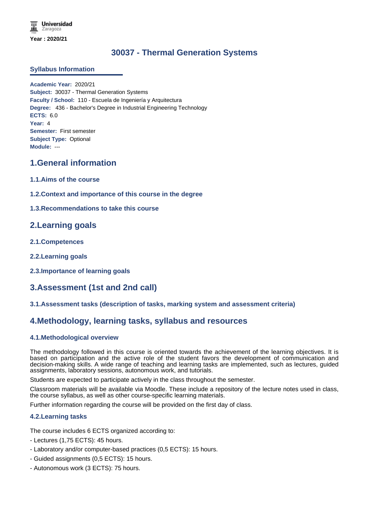**Universidad** Zaragoza **Year : 2020/21**

# **30037 - Thermal Generation Systems**

### **Syllabus Information**

**Academic Year:** 2020/21 **Subject:** 30037 - Thermal Generation Systems **Faculty / School:** 110 - Escuela de Ingeniería y Arquitectura **Degree:** 436 - Bachelor's Degree in Industrial Engineering Technology **ECTS:** 6.0 **Year:** 4 **Semester:** First semester **Subject Type:** Optional **Module:** ---

## **1.General information**

- **1.1.Aims of the course**
- **1.2.Context and importance of this course in the degree**
- **1.3.Recommendations to take this course**

## **2.Learning goals**

- **2.1.Competences**
- **2.2.Learning goals**
- **2.3.Importance of learning goals**

## **3.Assessment (1st and 2nd call)**

### **3.1.Assessment tasks (description of tasks, marking system and assessment criteria)**

### **4.Methodology, learning tasks, syllabus and resources**

### **4.1.Methodological overview**

The methodology followed in this course is oriented towards the achievement of the learning objectives. It is based on participation and the active role of the student favors the development of communication and decision-making skills. A wide range of teaching and learning tasks are implemented, such as lectures, guided assignments, laboratory sessions, autonomous work, and tutorials.

Students are expected to participate actively in the class throughout the semester.

Classroom materials will be available via Moodle. These include a repository of the lecture notes used in class, the course syllabus, as well as other course-specific learning materials.

Further information regarding the course will be provided on the first day of class.

### **4.2.Learning tasks**

The course includes 6 ECTS organized according to:

- Lectures (1,75 ECTS): 45 hours.
- Laboratory and/or computer-based practices (0,5 ECTS): 15 hours.
- Guided assignments (0,5 ECTS): 15 hours.
- Autonomous work (3 ECTS): 75 hours.